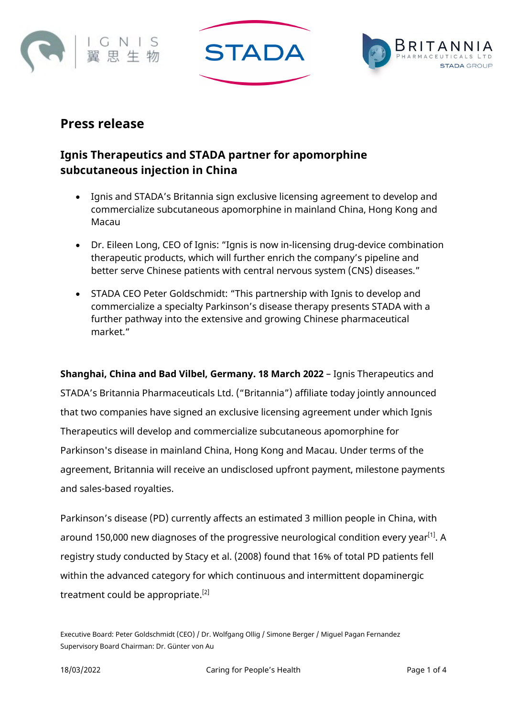





# **Press release**

# **Ignis Therapeutics and STADA partner for apomorphine subcutaneous injection in China**

- Ignis and STADA's Britannia sign exclusive licensing agreement to develop and commercialize subcutaneous apomorphine in mainland China, Hong Kong and Macau
- Dr. Eileen Long, CEO of Ignis: "Ignis is now in-licensing drug-device combination therapeutic products, which will further enrich the company's pipeline and better serve Chinese patients with central nervous system (CNS) diseases."
- STADA CEO Peter Goldschmidt: "This partnership with Ignis to develop and commercialize a specialty Parkinson's disease therapy presents STADA with a further pathway into the extensive and growing Chinese pharmaceutical market."

**Shanghai, China and Bad Vilbel, Germany. 18 March 2022** – Ignis Therapeutics and STADA's Britannia Pharmaceuticals Ltd. ("Britannia") affiliate today jointly announced that two companies have signed an exclusive licensing agreement under which Ignis Therapeutics will develop and commercialize subcutaneous apomorphine for Parkinson's disease in mainland China, Hong Kong and Macau. Under terms of the agreement, Britannia will receive an undisclosed upfront payment, milestone payments and sales-based royalties.

Parkinson's disease (PD) currently affects an estimated 3 million people in China, with around 150,000 new diagnoses of the progressive neurological condition every year<sup>[1]</sup>. A registry study conducted by Stacy et al. (2008) found that 16% of total PD patients fell within the advanced category for which continuous and intermittent dopaminergic treatment could be appropriate.<sup>[2]</sup>

Executive Board: Peter Goldschmidt (CEO) / Dr. Wolfgang Ollig / Simone Berger / Miguel Pagan Fernandez Supervisory Board Chairman: Dr. Günter von Au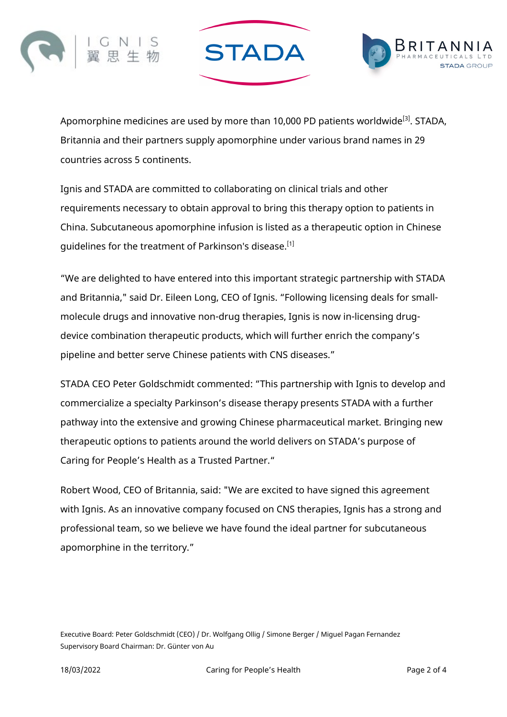



Apomorphine medicines are used by more than 10,000 PD patients worldwide<sup>[3]</sup>. STADA, Britannia and their partners supply apomorphine under various brand names in 29 countries across 5 continents.

**STADA** 

Ignis and STADA are committed to collaborating on clinical trials and other requirements necessary to obtain approval to bring this therapy option to patients in China. Subcutaneous apomorphine infusion is listed as a therapeutic option in Chinese guidelines for the treatment of Parkinson's disease.<sup>[1]</sup>

"We are delighted to have entered into this important strategic partnership with STADA and Britannia," said Dr. Eileen Long, CEO of Ignis. "Following licensing deals for smallmolecule drugs and innovative non-drug therapies, Ignis is now in-licensing drugdevice combination therapeutic products, which will further enrich the company's pipeline and better serve Chinese patients with CNS diseases."

STADA CEO Peter Goldschmidt commented: "This partnership with Ignis to develop and commercialize a specialty Parkinson's disease therapy presents STADA with a further pathway into the extensive and growing Chinese pharmaceutical market. Bringing new therapeutic options to patients around the world delivers on STADA's purpose of Caring for People's Health as a Trusted Partner."

Robert Wood, CEO of Britannia, said: "We are excited to have signed this agreement with Ignis. As an innovative company focused on CNS therapies, Ignis has a strong and professional team, so we believe we have found the ideal partner for subcutaneous apomorphine in the territory."

Executive Board: Peter Goldschmidt (CEO) / Dr. Wolfgang Ollig / Simone Berger / Miguel Pagan Fernandez Supervisory Board Chairman: Dr. Günter von Au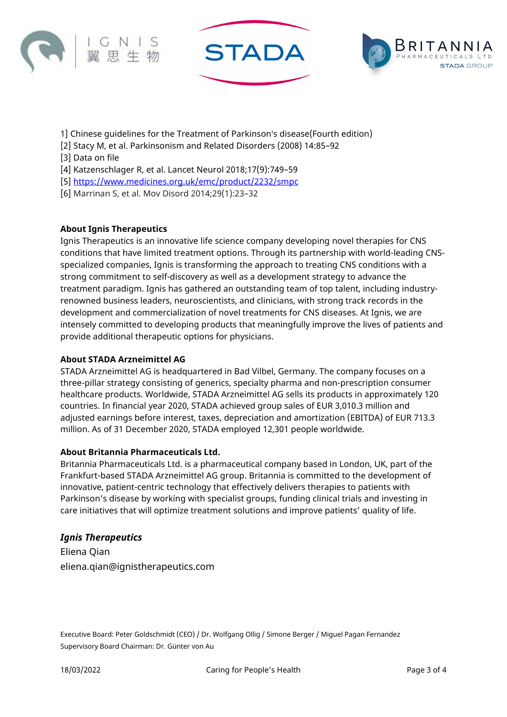





- 1] Chinese guidelines for the Treatment of Parkinson′s disease(Fourth edition)
- [2] Stacy M, et al. Parkinsonism and Related Disorders (2008) 14:85–92
- [3] Data on file
- [4] Katzenschlager R, et al. Lancet Neurol 2018;17(9):749–59
- [5]<https://www.medicines.org.uk/emc/product/2232/smpc>
- [6] Marrinan S, et al. Mov Disord 2014;29(1):23–32

## **About Ignis Therapeutics**

Ignis Therapeutics is an innovative life science company developing novel therapies for CNS conditions that have limited treatment options. Through its partnership with world-leading CNSspecialized companies, Ignis is transforming the approach to treating CNS conditions with a strong commitment to self-discovery as well as a development strategy to advance the treatment paradigm. Ignis has gathered an outstanding team of top talent, including industryrenowned business leaders, neuroscientists, and clinicians, with strong track records in the development and commercialization of novel treatments for CNS diseases. At Ignis, we are intensely committed to developing products that meaningfully improve the lives of patients and provide additional therapeutic options for physicians.

#### **About STADA Arzneimittel AG**

STADA Arzneimittel AG is headquartered in Bad Vilbel, Germany. The company focuses on a three-pillar strategy consisting of generics, specialty pharma and non-prescription consumer healthcare products. Worldwide, STADA Arzneimittel AG sells its products in approximately 120 countries. In financial year 2020, STADA achieved group sales of EUR 3,010.3 million and adjusted earnings before interest, taxes, depreciation and amortization (EBITDA) of EUR 713.3 million. As of 31 December 2020, STADA employed 12,301 people worldwide.

#### **About Britannia Pharmaceuticals Ltd.**

Britannia Pharmaceuticals Ltd. is a pharmaceutical company based in London, UK, part of the Frankfurt-based STADA Arzneimittel AG group. Britannia is committed to the development of innovative, patient-centric technology that effectively delivers therapies to patients with Parkinson's disease by working with specialist groups, funding clinical trials and investing in care initiatives that will optimize treatment solutions and improve patients' quality of life.

#### *Ignis Therapeutics*

Eliena Qian eliena.qian@ignistherapeutics.com

Executive Board: Peter Goldschmidt (CEO) / Dr. Wolfgang Ollig / Simone Berger / Miguel Pagan Fernandez Supervisory Board Chairman: Dr. Günter von Au